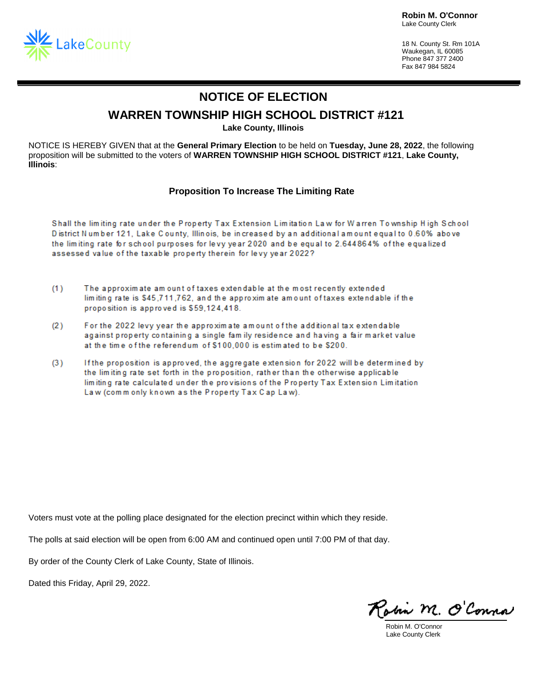**Robin M. O'Connor** Lake County Clerk



18 N. County St. Rm 101A Waukegan, IL 60085 Phone 847 377 2400 Fax 847 984 5824

## **NOTICE OF ELECTION**

### **WARREN TOWNSHIP HIGH SCHOOL DISTRICT #121**

**Lake County, Illinois**

NOTICE IS HEREBY GIVEN that at the **General Primary Election** to be held on **Tuesday, June 28, 2022**, the following proposition will be submitted to the voters of **WARREN TOWNSHIP HIGH SCHOOL DISTRICT #121**, **Lake County, Illinois**:

#### **Proposition To Increase The Limiting Rate**

Shall the limiting rate under the Property Tax Extension Limitation Law for Warren Township High School District Number 121, Lake County, Illinois, be increased by an additional amount equal to 0.60% above the limiting rate for school purposes for levy year 2020 and be equal to 2.644864% of the equalized assessed value of the taxable property therein for levy year 2022?

- $(1)$ The approximate am ount of taxes extendable at the most recently extended limiting rate is \$45,711,762, and the approximate amount of taxes extendable if the proposition is approved is \$59,124,418.
- $(2)$ For the 2022 levy year the approximate amount of the additional tax extendable against property containing a single family residence and having a fair market value at the time of the referendum of \$100,000 is estimated to be \$200.
- $(3)$ If the proposition is approved, the aggregate extension for 2022 will be determined by the limiting rate set forth in the proposition, rather than the otherwise applicable limiting rate calculated under the provisions of the Property Tax Extension Limitation Law (commonly known as the Property Tax Cap Law).

Voters must vote at the polling place designated for the election precinct within which they reside.

The polls at said election will be open from 6:00 AM and continued open until 7:00 PM of that day.

By order of the County Clerk of Lake County, State of Illinois.

Dated this Friday, April 29, 2022.

obin M. O'Conna

Robin M. O'Connor Lake County Clerk